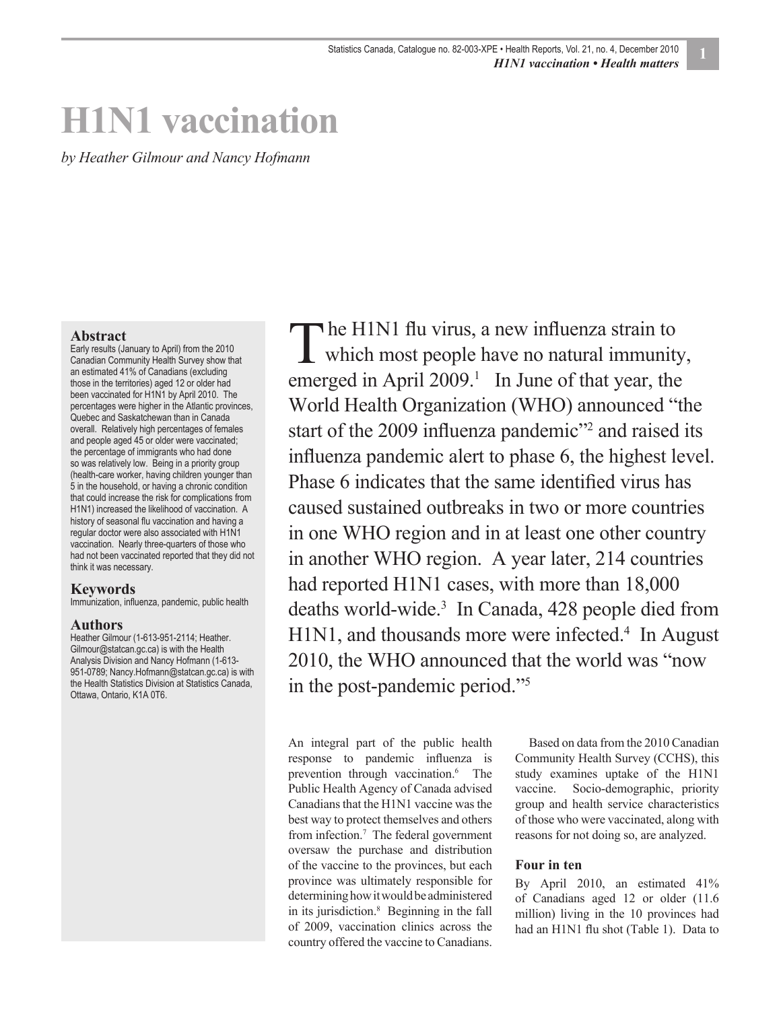# **H1N1 vaccination**

*by Heather Gilmour and Nancy Hofmann*

#### **Abstract**

Early results (January to April) from the 2010 Canadian Community Health Survey show that an estimated 41% of Canadians (excluding those in the territories) aged 12 or older had been vaccinated for H1N1 by April 2010. The percentages were higher in the Atlantic provinces, Quebec and Saskatchewan than in Canada overall. Relatively high percentages of females and people aged 45 or older were vaccinated; the percentage of immigrants who had done so was relatively low. Being in a priority group (health-care worker, having children younger than 5 in the household, or having a chronic condition that could increase the risk for complications from H1N1) increased the likelihood of vaccination. A history of seasonal flu vaccination and having a regular doctor were also associated with H1N1 vaccination. Nearly three-quarters of those who had not been vaccinated reported that they did not think it was necessary.

#### **Keywords**

Immunization, influenza, pandemic, public health

#### **Authors**

Heather Gilmour (1-613-951-2114; Heather. Gilmour@statcan.gc.ca) is with the Health Analysis Division and Nancy Hofmann (1-613- 951-0789; Nancy.Hofmann@statcan.gc.ca) is with the Health Statistics Division at Statistics Canada, Ottawa, Ontario, K1A 0T6.

he H1N1 flu virus, a new influenza strain to The H1N1 flu virus, a new influenza strain to<br>which most people have no natural immunity, emerged in April  $2009$ <sup>1</sup> In June of that year, the World Health Organization (WHO) announced "the start of the 2009 influenza pandemic"<sup>2</sup> and raised its influenza pandemic alert to phase 6, the highest level. Phase 6 indicates that the same identified virus has caused sustained outbreaks in two or more countries in one WHO region and in at least one other country in another WHO region. A year later, 214 countries had reported H1N1 cases, with more than 18,000 deaths world-wide.3 In Canada, 428 people died from H1N1, and thousands more were infected.<sup>4</sup> In August 2010, the WHO announced that the world was "now in the post-pandemic period."5

An integral part of the public health response to pandemic influenza is prevention through vaccination.6 The Public Health Agency of Canada advised Canadians that the H1N1 vaccine was the best way to protect themselves and others from infection.7 The federal government oversaw the purchase and distribution of the vaccine to the provinces, but each province was ultimately responsible for determining how it would be administered in its jurisdiction.8 Beginning in the fall of 2009, vaccination clinics across the country offered the vaccine to Canadians.

Based on data from the 2010 Canadian Community Health Survey (CCHS), this study examines uptake of the H1N1 vaccine. Socio-demographic, priority group and health service characteristics of those who were vaccinated, along with reasons for not doing so, are analyzed.

#### **Four in ten**

By April 2010, an estimated 41% of Canadians aged 12 or older (11.6 million) living in the 10 provinces had had an H1N1 flu shot (Table 1). Data to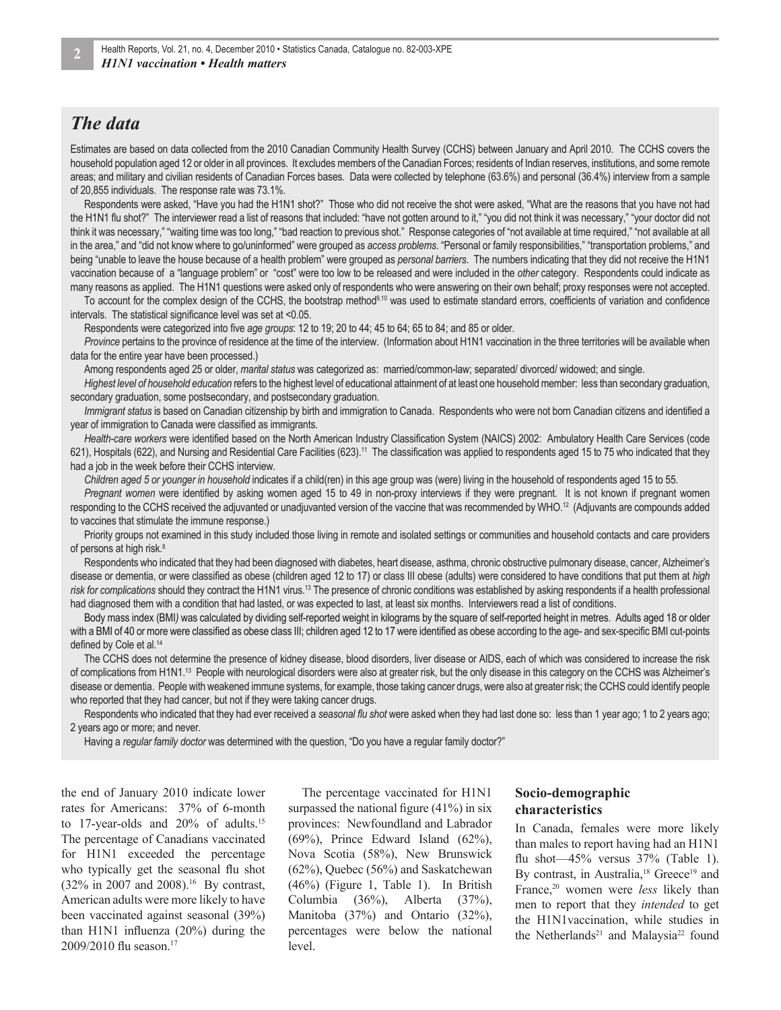### *The data*

Estimates are based on data collected from the 2010 Canadian Community Health Survey (CCHS) between January and April 2010. The CCHS covers the household population aged 12 or older in all provinces. It excludes members of the Canadian Forces; residents of Indian reserves, institutions, and some remote areas; and military and civilian residents of Canadian Forces bases. Data were collected by telephone (63.6%) and personal (36.4%) interview from a sample of 20,855 individuals. The response rate was 73.1%.

Respondents were asked, "Have you had the H1N1 shot?" Those who did not receive the shot were asked, "What are the reasons that you have not had the H1N1 flu shot?" The interviewer read a list of reasons that included: "have not gotten around to it," "you did not think it was necessary," "your doctor did not think it was necessary," "waiting time was too long," "bad reaction to previous shot." Response categories of "not available at time required," "not available at all in the area," and "did not know where to go/uninformed" were grouped as *access problems*. "Personal or family responsibilities," "transportation problems," and being "unable to leave the house because of a health problem" were grouped as *personal barriers*. The numbers indicating that they did not receive the H1N1 vaccination because of a "language problem" or "cost" were too low to be released and were included in the *other* category. Respondents could indicate as many reasons as applied. The H1N1 questions were asked only of respondents who were answering on their own behalf; proxy responses were not accepted.

To account for the complex design of the CCHS, the bootstrap method<sup>9,10</sup> was used to estimate standard errors, coefficients of variation and confidence intervals. The statistical significance level was set at <0.05.

Respondents were categorized into five *age groups*: 12 to 19; 20 to 44; 45 to 64; 65 to 84; and 85 or older.

*Province* pertains to the province of residence at the time of the interview. (Information about H1N1 vaccination in the three territories will be available when data for the entire year have been processed.)

Among respondents aged 25 or older, *marital status* was categorized as: married/common-law; separated/ divorced/ widowed; and single.

*Highest level of household education* refers to the highest level of educational attainment of at least one household member: less than secondary graduation, secondary graduation, some postsecondary, and postsecondary graduation.

*Immigrant status* is based on Canadian citizenship by birth and immigration to Canada. Respondents who were not born Canadian citizens and identified a year of immigration to Canada were classified as immigrants.

Health-care workers were identified based on the North American Industry Classification System (NAICS) 2002: Ambulatory Health Care Services (code 621), Hospitals (622), and Nursing and Residential Care Facilities (623).<sup>11</sup> The classification was applied to respondents aged 15 to 75 who indicated that they had a job in the week before their CCHS interview.

*Children aged 5 or younger in household* indicates if a child(ren) in this age group was (were) living in the household of respondents aged 15 to 55.

*Pregnant women* were identified by asking women aged 15 to 49 in non-proxy interviews if they were pregnant. It is not known if pregnant women responding to the CCHS received the adjuvanted or unadjuvanted version of the vaccine that was recommended by WHO.12 (Adjuvants are compounds added to vaccines that stimulate the immune response.)

Priority groups not examined in this study included those living in remote and isolated settings or communities and household contacts and care providers of persons at high risk.<sup>8</sup>

Respondents who indicated that they had been diagnosed with diabetes, heart disease, asthma, chronic obstructive pulmonary disease, cancer, Alzheimer's disease or dementia, or were classified as obese (children aged 12 to 17) or class III obese (adults) were considered to have conditions that put them at *high risk for complications* should they contract the H1N1 virus.13 The presence of chronic conditions was established by asking respondents if a health professional had diagnosed them with a condition that had lasted, or was expected to last, at least six months. Interviewers read a list of conditions.

Body mass index (BMI*)* was calculated by dividing self-reported weight in kilograms by the square of self-reported height in metres. Adults aged 18 or older with a BMI of 40 or more were classified as obese class III; children aged 12 to 17 were identified as obese according to the age- and sex-specific BMI cut-points defined by Cole et al.<sup>14</sup>

The CCHS does not determine the presence of kidney disease, blood disorders, liver disease or AIDS, each of which was considered to increase the risk of complications from H1N1.13 People with neurological disorders were also at greater risk, but the only disease in this category on the CCHS was Alzheimer's disease or dementia. People with weakened immune systems, for example, those taking cancer drugs, were also at greater risk; the CCHS could identify people who reported that they had cancer, but not if they were taking cancer drugs.

Respondents who indicated that they had ever received a seasonal flu shot were asked when they had last done so: less than 1 year ago; 1 to 2 years ago; 2 years ago or more; and never.

Having a *regular family doctor* was determined with the question, "Do you have a regular family doctor?"

the end of January 2010 indicate lower rates for Americans: 37% of 6-month to 17-year-olds and 20% of adults.<sup>15</sup> The percentage of Canadians vaccinated for H1N1 exceeded the percentage who typically get the seasonal flu shot  $(32\% \text{ in } 2007 \text{ and } 2008).$ <sup>16</sup> By contrast, American adults were more likely to have been vaccinated against seasonal (39%) than H1N1 influenza  $(20\%)$  during the 2009/2010 flu season.<sup>17</sup>

The percentage vaccinated for H1N1 surpassed the national figure  $(41\%)$  in six provinces: Newfoundland and Labrador  $(69\%)$ , Prince Edward Island  $(62\%)$ , Nova Scotia (58%), New Brunswick (62%), Quebec (56%) and Saskatchewan (46%) (Figure 1, Table 1). In British Columbia (36%), Alberta (37%), Manitoba (37%) and Ontario (32%), percentages were below the national level.

#### **Socio-demographic characteristics**

In Canada, females were more likely than males to report having had an H1N1 flu shot $-45\%$  versus  $37\%$  (Table 1). By contrast, in Australia,<sup>18</sup> Greece<sup>19</sup> and France,<sup>20</sup> women were *less* likely than men to report that they *intended* to get the H1N1vaccination, while studies in the Netherlands<sup>21</sup> and Malaysia<sup>22</sup> found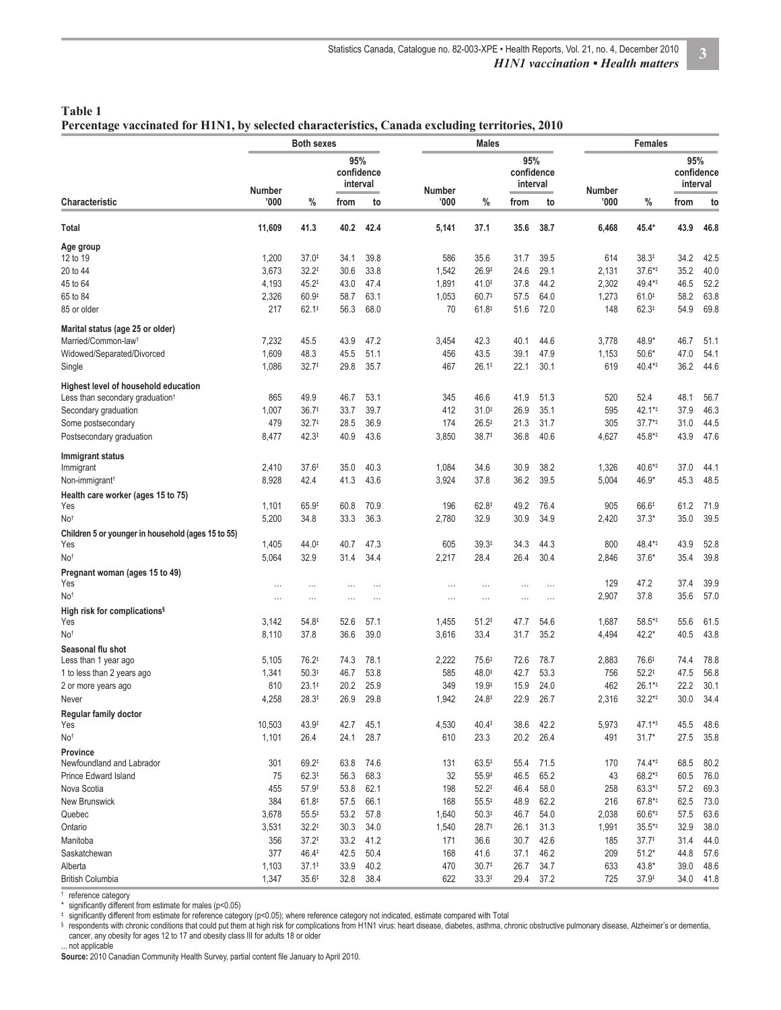| Table 1                                                                                         |  |  |
|-------------------------------------------------------------------------------------------------|--|--|
| Percentage vaccinated for H1N1, by selected characteristics, Canada excluding territories, 2010 |  |  |

|                                                           | <b>Both sexes</b> |                   |                               | <b>Males</b> |                |                   |                               |          | <b>Females</b> |                   |                               |      |  |
|-----------------------------------------------------------|-------------------|-------------------|-------------------------------|--------------|----------------|-------------------|-------------------------------|----------|----------------|-------------------|-------------------------------|------|--|
|                                                           | Number            |                   | 95%<br>confidence<br>interval |              |                |                   | 95%<br>confidence<br>interval |          | Number         |                   | 95%<br>confidence<br>interval |      |  |
| <b>Characteristic</b>                                     | '000              | %                 | from                          | to           | Number<br>'000 | $\%$              | from                          | to       | '000'          | %                 | from                          | to   |  |
| Total                                                     | 11,609            | 41.3              | 40.2                          | 42.4         | 5,141          | 37.1              | 35.6                          | 38.7     | 6,468          | 45.4*             | 43.9                          | 46.8 |  |
| Age group                                                 |                   |                   |                               |              |                |                   |                               |          |                |                   |                               |      |  |
| 12 to 19                                                  | 1,200             | $37.0*$           | 34.1                          | 39.8         | 586            | 35.6              | 31.7                          | 39.5     | 614            | $38.3^{\ddagger}$ | 34.2                          | 42.5 |  |
| 20 to 44                                                  | 3,673             | $32.2^{\ddagger}$ | 30.6                          | 33.8         | 1,542          | $26.9^{\ddagger}$ | 24.6                          | 29.1     | 2,131          | 37.6**            | 35.2                          | 40.0 |  |
| 45 to 64                                                  | 4,193             | $45.2^{\ddagger}$ | 43.0                          | 47.4         | 1,891          | 41.0 <sup>‡</sup> | 37.8                          | 44.2     | 2,302          | 49.4**            | 46.5                          | 52.2 |  |
| 65 to 84                                                  | 2,326             | $60.9^{\ddagger}$ | 58.7                          | 63.1         | 1,053          | 60.7 <sup>‡</sup> | 57.5                          | 64.0     | 1,273          | $61.0^{+}$        | 58.2                          | 63.8 |  |
| 85 or older                                               | 217               | $62.1^{\ddagger}$ | 56.3                          | 68.0         | 70             | $61.8^{+}$        | 51.6                          | 72.0     | 148            | $62.3^{\ddagger}$ | 54.9                          | 69.8 |  |
| Marital status (age 25 or older)                          |                   |                   |                               |              |                |                   |                               |          |                |                   |                               |      |  |
| Married/Common-law <sup>t</sup>                           | 7,232             | 45.5              | 43.9                          | 47.2         | 3,454          | 42.3              | 40.1                          | 44.6     | 3,778          | 48.9*             | 46.7                          | 51.1 |  |
| Widowed/Separated/Divorced                                | 1,609             | 48.3              | 45.5                          | 51.1         | 456            | 43.5              | 39.1                          | 47.9     | 1,153          | $50.6*$           | 47.0                          | 54.1 |  |
| Single                                                    | 1,086             | $32.7^{\ddagger}$ | 29.8                          | 35.7         | 467            | 26.1 <sup>‡</sup> | 22.1                          | 30.1     | 619            | 40.4**            | 36.2                          | 44.6 |  |
| Highest level of household education                      |                   |                   |                               |              |                |                   |                               |          |                |                   |                               |      |  |
| Less than secondary graduation <sup>t</sup>               | 865               | 49.9              | 46.7                          | 53.1         | 345            | 46.6              | 41.9                          | 51.3     | 520            | 52.4              | 48.1                          | 56.7 |  |
| Secondary graduation                                      | 1,007             | 36.7 <sup>‡</sup> | 33.7                          | 39.7         | 412            | $31.0*$           | 26.9                          | 35.1     | 595            | 42.1**            | 37.9                          | 46.3 |  |
| Some postsecondary                                        | 479               | 32.7‡             | 28.5                          | 36.9         | 174            | $26.5^{\ddagger}$ | 21.3                          | 31.7     | 305            | $37.7**$          | 31.0                          | 44.5 |  |
| Postsecondary graduation                                  | 8,477             | $42.3^{\ddagger}$ | 40.9                          | 43.6         | 3,850          | 38.7 <sup>‡</sup> | 36.8                          | 40.6     | 4,627          | 45.8*‡            | 43.9                          | 47.6 |  |
| Immigrant status                                          |                   |                   |                               |              |                |                   |                               |          |                |                   |                               |      |  |
| Immigrant                                                 | 2,410             | 37.6‡             | 35.0                          | 40.3         | 1,084          | 34.6              | 30.9                          | 38.2     | 1,326          | 40.6*‡            | 37.0                          | 44.1 |  |
| Non-immigrant <sup>†</sup>                                | 8,928             | 42.4              | 41.3                          | 43.6         | 3,924          | 37.8              | 36.2                          | 39.5     | 5,004          | 46.9*             | 45.3                          | 48.5 |  |
| Health care worker (ages 15 to 75)                        |                   |                   |                               |              |                |                   |                               |          |                |                   |                               |      |  |
| Yes                                                       | 1,101             | 65.9#             | 60.8                          | 70.9         | 196            | $62.8^{\ddagger}$ | 49.2                          | 76.4     | 905            | 66.6#             | 61.2                          | 71.9 |  |
| No <sup>t</sup>                                           | 5,200             | 34.8              | 33.3                          | 36.3         | 2,780          | 32.9              | 30.9                          | 34.9     | 2,420          | $37.3*$           | 35.0                          | 39.5 |  |
| Children 5 or younger in household (ages 15 to 55)<br>Yes | 1,405             | 44.0 <sup>‡</sup> | 40.7                          | 47.3         | 605            | $39.3^{\ddagger}$ | 34.3                          | 44.3     | 800            | 48.4**            | 43.9                          | 52.8 |  |
| No <sup>t</sup>                                           | 5,064             | 32.9              | 31.4                          | 34.4         |                | 28.4              | 26.4                          | 30.4     |                | $37.6*$           | 35.4                          | 39.8 |  |
|                                                           |                   |                   |                               |              | 2,217          |                   |                               |          | 2,846          |                   |                               |      |  |
| Pregnant woman (ages 15 to 49)<br>Yes                     | $\cdots$          | $\ldots$          | $\cdots$                      | $\cdots$     | $\cdots$       | $\cdots$          | $\cdots$                      | $\cdots$ | 129            | 47.2              | 37.4                          | 39.9 |  |
| No <sup>t</sup>                                           | .                 | $\cdots$          |                               |              | $\ldots$       | $\cdots$          | $\cdots$                      | $\cdots$ | 2,907          | 37.8              | 35.6                          | 57.0 |  |
| High risk for complications <sup>§</sup>                  |                   |                   |                               |              |                |                   |                               |          |                |                   |                               |      |  |
| Yes                                                       | 3,142             | $54.8^{\ddagger}$ | 52.6                          | 57.1         | 1,455          | $51.2^{\ddagger}$ | 47.7                          | 54.6     | 1,687          | 58.5**            | 55.6                          | 61.5 |  |
| No <sup>t</sup>                                           | 8,110             | 37.8              | 36.6                          | 39.0         | 3,616          | 33.4              | 31.7                          | 35.2     | 4,494          | 42.2*             | 40.5                          | 43.8 |  |
| Seasonal flu shot                                         |                   |                   |                               |              |                |                   |                               |          |                |                   |                               |      |  |
| Less than 1 year ago                                      | 5,105             | $76.2^{\ddagger}$ | 74.3                          | 78.1         | 2,222          | $75.6^{\ddagger}$ | 72.6                          | 78.7     | 2,883          | 76.6 <sup>‡</sup> | 74.4                          | 78.8 |  |
| 1 to less than 2 years ago                                | 1,341             | $50.3*$           | 46.7                          | 53.8         | 585            | 48.0              | 42.7                          | 53.3     | 756            | $52.2^{\ddagger}$ | 47.5                          | 56.8 |  |
| 2 or more years ago                                       | 810               | $23.1^{\ddagger}$ | 20.2                          | 25.9         | 349            | $19.9^{\ddagger}$ | 15.9                          | 24.0     | 462            | 26.1**            | 22.2                          | 30.1 |  |
| Never                                                     | 4,258             | 28.3‡             | 26.9                          | 29.8         | 1,942          | $24.8^{\ddagger}$ | 22.9                          | 26.7     | 2,316          | $32.2**$          | 30.0                          | 34.4 |  |
| Regular family doctor<br>Yes                              | 10,503            | 43.9#             | 42.7                          | 45.1         | 4,530          | 40.4#             | 38.6                          | 42.2     | 5,973          | 47.1**            | 45.5                          | 48.6 |  |
| No <sup>t</sup>                                           | 1,101             | 26.4              | 24.1                          | 28.7         | 610            | 23.3              | 20.2                          | 26.4     | 491            | $31.7*$           | 27.5                          | 35.8 |  |
| <b>Province</b>                                           |                   |                   |                               |              |                |                   |                               |          |                |                   |                               |      |  |
| Newfoundland and Labrador                                 | 301               | $69.2^{\ddagger}$ | 63.8                          | 74.6         | 131            | $63.5^{\ddagger}$ | 55.4                          | 71.5     | 170            | 74.4**            | 68.5                          | 80.2 |  |
| Prince Edward Island                                      | 75                | $62.3^{\ddagger}$ | 56.3                          | 68.3         | 32             | $55.9^{\ddagger}$ | 46.5                          | 65.2     | 43             | 68.2**            | 60.5                          | 76.0 |  |
| Nova Scotia                                               | 455               | $57.9^{\ddagger}$ | 53.8                          | 62.1         | 198            | $52.2^{\ddagger}$ | 46.4                          | 58.0     | 258            | 63.3**            | 57.2                          | 69.3 |  |
| New Brunswick                                             | 384               | $61.8^{+}$        | 57.5                          | 66.1         | 168            | $55.5^{\ddagger}$ | 48.9                          | 62.2     | 216            | 67.8**            | 62.5                          | 73.0 |  |
| Quebec                                                    | 3,678             | $55.5^{\ddagger}$ | 53.2                          | 57.8         | 1,640          | $50.3*$           | 46.7                          | 54.0     | 2,038          | 60.6**            | 57.5                          | 63.6 |  |
| Ontario                                                   | 3,531             | $32.2^{\ddagger}$ | 30.3                          | 34.0         | 1,540          | $28.7^{\ddagger}$ | 26.1                          | 31.3     | 1,991          | 35.5**            | 32.9                          | 38.0 |  |
| Manitoba                                                  | 356               | $37.2^{\ddagger}$ | 33.2                          | 41.2         | 171            | 36.6              | 30.7                          | 42.6     | 185            | 37.7‡             | 31.4                          | 44.0 |  |
| Saskatchewan                                              | 377               | 46.4#             | 42.5                          | 50.4         | 168            | 41.6              | 37.1                          | 46.2     | 209            | $51.2*$           | 44.8                          | 57.6 |  |
| Alberta                                                   | 1,103             | $37.1^{\ddagger}$ | 33.9                          | 40.2         | 470            | 30.7 <sup>‡</sup> | 26.7                          | 34.7     | 633            | $43.8*$           | 39.0                          | 48.6 |  |
| <b>British Columbia</b>                                   | 1,347             | 35.6‡             | 32.8                          | 38.4         | 622            | $33.3*$           | 29.4                          | 37.2     | 725            | $37.9^{\ddagger}$ | 34.0                          | 41.8 |  |
|                                                           |                   |                   |                               |              |                |                   |                               |          |                |                   |                               |      |  |

† reference category

\* significantly different from estimate for males (p<0.05)

‡ significantly different from estimate for reference category (p<0.05); where reference category not indicated, estimate compared with Total<br>§ respondents with chronic conditions that could put them at high risk for comp cancer, any obesity for ages 12 to 17 and obesity class III for adults 18 or older

... not applicable

Source: 2010 Canadian Community Health Survey, partial content file January to April 2010.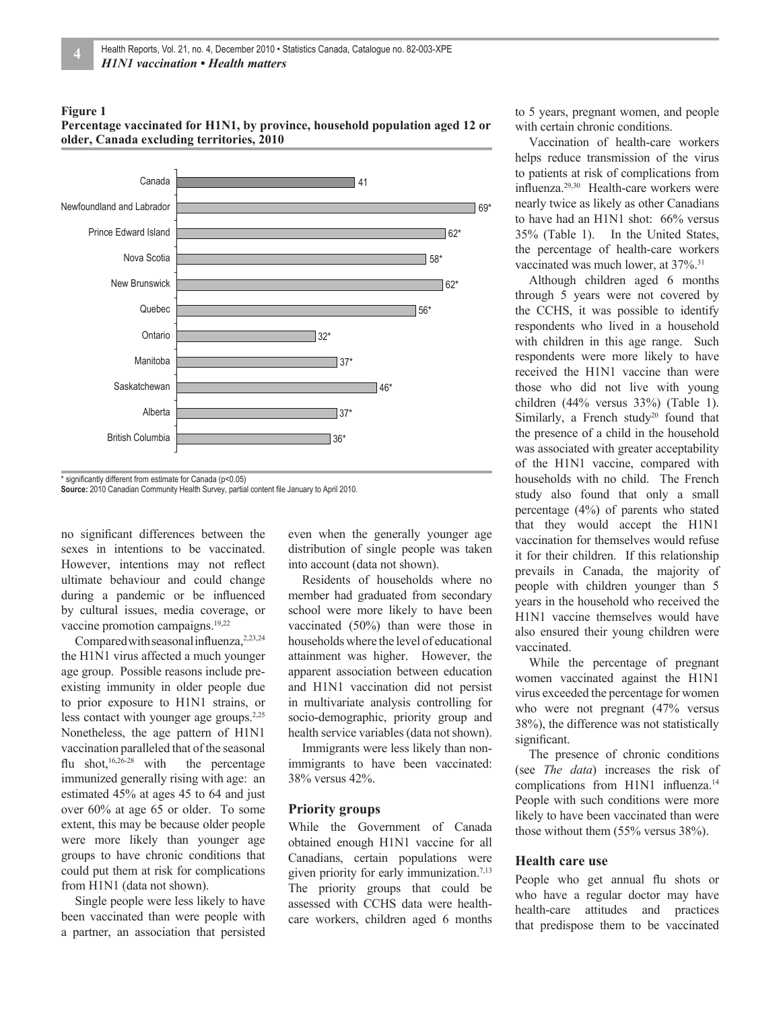#### **Figure 1**





Source: 2010 Canadian Community Health Survey, partial content file January to April 2010.

no significant differences between the sexes in intentions to be vaccinated. However, intentions may not reflect ultimate behaviour and could change during a pandemic or be influenced by cultural issues, media coverage, or vaccine promotion campaigns.19,22

Compared with seasonal influenza,<sup>2,23,24</sup> the H1N1 virus affected a much younger age group. Possible reasons include preexisting immunity in older people due to prior exposure to H1N1 strains, or less contact with younger age groups.<sup>2,25</sup> Nonetheless, the age pattern of H1N1 vaccination paralleled that of the seasonal flu shot,<sup>16,26-28</sup> with the percentage immunized generally rising with age: an estimated 45% at ages 45 to 64 and just over 60% at age 65 or older. To some extent, this may be because older people were more likely than younger age groups to have chronic conditions that could put them at risk for complications from H1N1 (data not shown).

Single people were less likely to have been vaccinated than were people with a partner, an association that persisted

even when the generally younger age distribution of single people was taken into account (data not shown).

Residents of households where no member had graduated from secondary school were more likely to have been vaccinated (50%) than were those in households where the level of educational attainment was higher. However, the apparent association between education and H1N1 vaccination did not persist in multivariate analysis controlling for socio-demographic, priority group and health service variables (data not shown).

Immigrants were less likely than nonimmigrants to have been vaccinated: 38% versus 42%.

#### **Priority groups**

While the Government of Canada obtained enough H1N1 vaccine for all Canadians, certain populations were given priority for early immunization.<sup>7,13</sup> The priority groups that could be assessed with CCHS data were healthcare workers, children aged 6 months to 5 years, pregnant women, and people with certain chronic conditions.

Vaccination of health-care workers helps reduce transmission of the virus to patients at risk of complications from influenza.<sup>29,30</sup> Health-care workers were nearly twice as likely as other Canadians to have had an H1N1 shot: 66% versus 35% (Table 1). In the United States, the percentage of health-care workers vaccinated was much lower, at  $37\%$ <sup>31</sup>

Although children aged 6 months through 5 years were not covered by the CCHS, it was possible to identify respondents who lived in a household with children in this age range. Such respondents were more likely to have received the H1N1 vaccine than were those who did not live with young children (44% versus 33%) (Table 1). Similarly, a French study<sup>20</sup> found that the presence of a child in the household was associated with greater acceptability of the H1N1 vaccine, compared with households with no child. The French study also found that only a small percentage (4%) of parents who stated that they would accept the H1N1 vaccination for themselves would refuse it for their children. If this relationship prevails in Canada, the majority of people with children younger than 5 years in the household who received the H1N1 vaccine themselves would have also ensured their young children were vaccinated.

While the percentage of pregnant women vaccinated against the H1N1 virus exceeded the percentage for women who were not pregnant (47% versus 38%), the difference was not statistically significant.

The presence of chronic conditions (see *The data*) increases the risk of complications from H1N1 influenza.<sup>14</sup> People with such conditions were more likely to have been vaccinated than were those without them (55% versus 38%).

#### **Health care use**

People who get annual flu shots or who have a regular doctor may have health-care attitudes and practices that predispose them to be vaccinated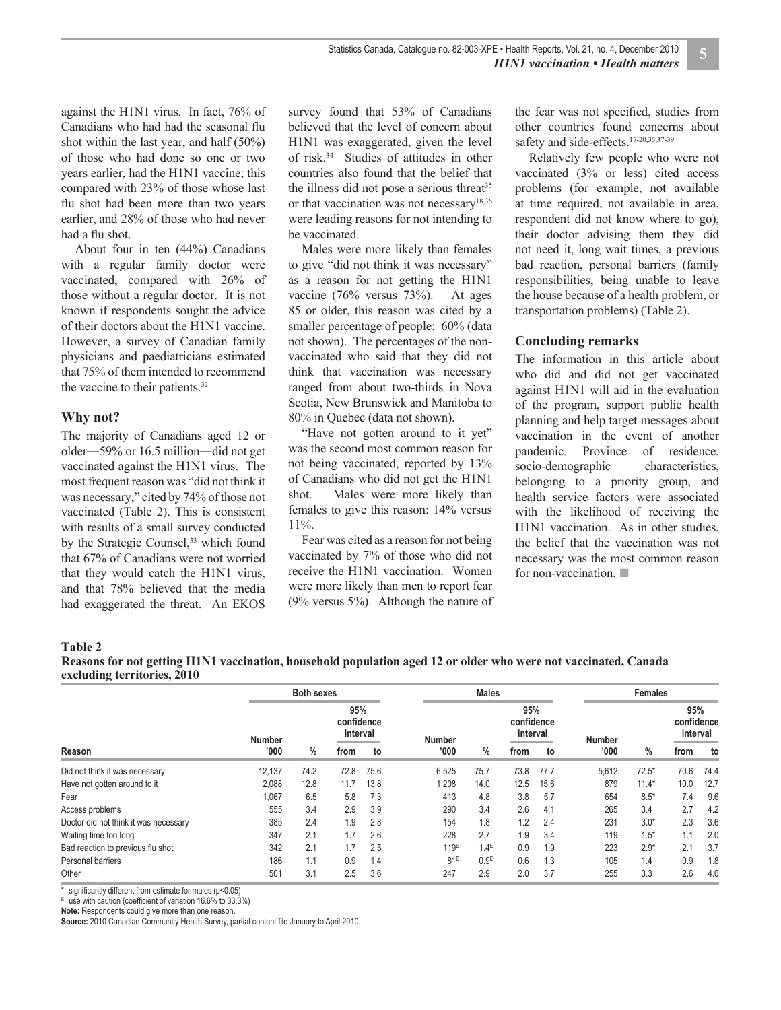against the H1N1 virus. In fact, 76% of Canadians who had had the seasonal flu shot within the last year, and half (50%) of those who had done so one or two years earlier, had the H1N1 vaccine; this compared with 23% of those whose last flu shot had been more than two years earlier, and 28% of those who had never had a flu shot.

About four in ten (44%) Canadians with a regular family doctor were vaccinated, compared with 26% of those without a regular doctor. It is not known if respondents sought the advice of their doctors about the H1N1 vaccine. However, a survey of Canadian family physicians and paediatricians estimated that 75% of them intended to recommend the vaccine to their patients.<sup>32</sup>

#### **Why not?**

The majority of Canadians aged 12 or older―59% or 16.5 million―did not get vaccinated against the H1N1 virus. The most frequent reason was "did not think it was necessary," cited by 74% of those not vaccinated (Table 2). This is consistent with results of a small survey conducted by the Strategic Counsel,<sup>33</sup> which found that 67% of Canadians were not worried that they would catch the H1N1 virus, and that 78% believed that the media had exaggerated the threat. An EKOS

survey found that 53% of Canadians believed that the level of concern about H1N1 was exaggerated, given the level of risk.34 Studies of attitudes in other countries also found that the belief that the illness did not pose a serious threat<sup>35</sup> or that vaccination was not necessary<sup>18,36</sup> were leading reasons for not intending to be vaccinated.

Males were more likely than females to give "did not think it was necessary" as a reason for not getting the H1N1 vaccine (76% versus 73%). At ages 85 or older, this reason was cited by a smaller percentage of people: 60% (data not shown). The percentages of the nonvaccinated who said that they did not think that vaccination was necessary ranged from about two-thirds in Nova Scotia, New Brunswick and Manitoba to 80% in Quebec (data not shown).

"Have not gotten around to it yet" was the second most common reason for not being vaccinated, reported by 13% of Canadians who did not get the H1N1 shot. Males were more likely than females to give this reason: 14% versus 11%.

Fear was cited as a reason for not being vaccinated by 7% of those who did not receive the H1N1 vaccination. Women were more likely than men to report fear (9% versus 5%). Although the nature of the fear was not specified, studies from other countries found concerns about safety and side-effects.<sup>17-20,35,37-39</sup>

Relatively few people who were not vaccinated (3% or less) cited access problems (for example, not available at time required, not available in area, respondent did not know where to go), their doctor advising them they did not need it, long wait times, a previous bad reaction, personal barriers (family responsibilities, being unable to leave the house because of a health problem, or transportation problems) (Table 2).

#### **Concluding remarks**

The information in this article about who did and did not get vaccinated against H1N1 will aid in the evaluation of the program, support public health planning and help target messages about vaccination in the event of another pandemic. Province of residence, socio-demographic characteristics, belonging to a priority group, and health service factors were associated with the likelihood of receiving the H1N1 vaccination. As in other studies, the belief that the vaccination was not necessary was the most common reason for non-vaccination. ■

#### **Table 2**

**Reasons for not getting H1N1 vaccination, household population aged 12 or older who were not vaccinated, Canada excluding territories, 2010**

|                                       |               | <b>Both sexes</b> |                               |      |                  | <b>Females</b>   |                               |      |               |         |                               |      |
|---------------------------------------|---------------|-------------------|-------------------------------|------|------------------|------------------|-------------------------------|------|---------------|---------|-------------------------------|------|
| Reason                                | <b>Number</b> |                   | 95%<br>confidence<br>interval |      | <b>Number</b>    |                  | 95%<br>confidence<br>interval |      | <b>Number</b> |         | 95%<br>confidence<br>interval |      |
|                                       | '000'         | $\%$              | from                          | to   | '000             | $\%$             | from                          | to   | '000'         | $\%$    | from                          | to   |
| Did not think it was necessary        | 12.137        | 74.2              | 72.8                          | 75.6 | 6,525            | 75.7             | 73.8                          | 77.7 | 5,612         | $72.5*$ | 70.6                          | 74.4 |
| Have not gotten around to it          | 2,088         | 12.8              | 11.7                          | 13.8 | 1,208            | 14.0             | 12.5                          | 15.6 | 879           | $11.4*$ | 10.0                          | 12.7 |
| Fear                                  | 1,067         | 6.5               | 5.8                           | 7.3  | 413              | 4.8              | 3.8                           | 5.7  | 654           | $8.5*$  | 7.4                           | 9.6  |
| Access problems                       | 555           | 3.4               | 2.9                           | 3.9  | 290              | 3.4              | 2.6                           | 4.1  | 265           | 3.4     | 2.7                           | 4.2  |
| Doctor did not think it was necessary | 385           | 2.4               | 1.9                           | 2.8  | 154              | 1.8              | 1.2                           | 2.4  | 231           | $3.0*$  | 2.3                           | 3.6  |
| Waiting time too long                 | 347           | 2.1               | 1.7                           | 2.6  | 228              | 2.7              | 1.9                           | 3.4  | 119           | $1.5*$  | 1.1                           | 2.0  |
| Bad reaction to previous flu shot     | 342           | 2.1               | 1.7                           | 2.5  | 119 <sup>E</sup> | $1.4^E$          | 0.9                           | 1.9  | 223           | $2.9*$  | 2.1                           | 3.7  |
| Personal barriers                     | 186           | 1.1               | 0.9                           | 1.4  | 81 <sup>E</sup>  | 0.9 <sup>E</sup> | 0.6                           | 1.3  | 105           | 1.4     | 0.9                           | 1.8  |
| Other                                 | 501           | 3.1               | 2.5                           | 3.6  | 247              | 2.9              | 2.0                           | 3.7  | 255           | 3.3     | 2.6                           | 4.0  |

\* significantly different from estimate for males (p<0.05)

 $E$  use with caution (coefficient of variation 16.6% to 33.3%)

**Note:** Respondents could give more than one reason.

Source: 2010 Canadian Community Health Survey, partial content file January to April 2010.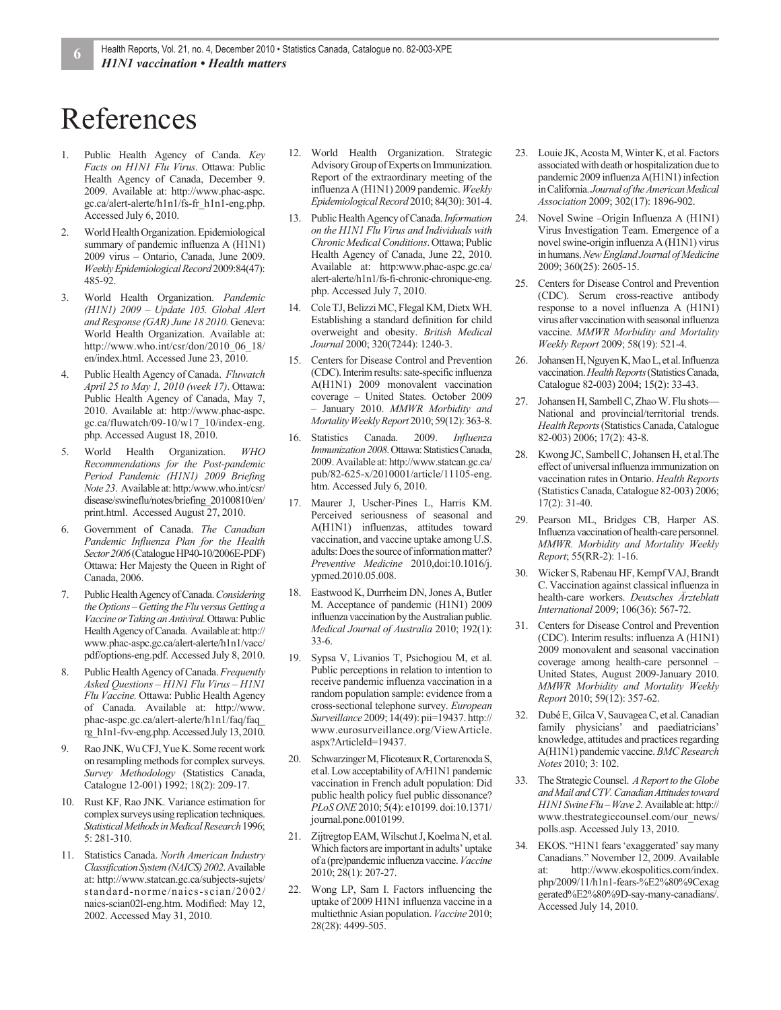## References

- 1. Public Health Agency of Canda. *Key Facts on H1N1 Flu Virus*. Ottawa: Public Health Agency of Canada, December 9. 2009. Available at: http://www.phac-aspc. gc.ca/alert-alerte/h1n1/fs-fr\_h1n1-eng.php. Accessed July 6, 2010.
- 2. World Health Organization. Epidemiological summary of pandemic influenza A (H1N1) 2009 virus – Ontario, Canada, June 2009. *Weekly Epidemiological Record* 2009:84(47): 485-92.
- 3. World Health Organization. *Pandemic (H1N1) 2009 – Update 105. Global Alert and Response (GAR) June 18 2010.* Geneva: World Health Organization. Available at: http://www.who.int/csr/don/2010\_06\_18/ en/index.html. Accessed June 23, 2010.
- 4. Public Health Agency of Canada. *Fluwatch April 25 to May 1, 2010 (week 17)*. Ottawa: Public Health Agency of Canada, May 7, 2010. Available at: http://www.phac-aspc. gc.ca/fluwatch/09-10/w17\_10/index-eng. php. Accessed August 18, 2010.
- 5. World Health Organization. *WHO Recommendations for the Post-pandemic Period Pandemic (H1N1) 2009 Briefing Note 23*. Available at: http:/www.who.int/csr/ disease/swineflu/notes/briefing\_20100810/en/ print.html. Accessed August 27, 2010.
- 6. Government of Canada. *The Canadian Pandemic Influenza Plan for the Health Sector 2006* (Catalogue HP40-10/2006E-PDF) Ottawa: Her Majesty the Queen in Right of Canada, 2006.
- 7. Public Health Agency of Canada. *Considering the Options – Getting the Flu versus Getting a Vaccine or Taking an Antiviral.* Ottawa: Public Health Agency of Canada. Available at: http:// www.phac-aspc.gc.ca/alert-alerte/h1n1/vacc/ pdf/options-eng.pdf. Accessed July 8, 2010.
- 8. Public Health Agency of Canada. *Frequently Asked Questions – H1N1 Flu Virus – H1N1 Flu Vaccine.* Ottawa: Public Health Agency of Canada. Available at: http://www. phac-aspc.gc.ca/alert-alerte/h1n1/faq/faq\_ rg\_h1n1-fvv-eng.php. Accessed July 13, 2010.
- 9. Rao JNK, Wu CFJ, Yue K. Some recent work on resampling methods for complex surveys. *Survey Methodology* (Statistics Canada, Catalogue 12-001) 1992; 18(2): 209-17.
- 10. Rust KF, Rao JNK. Variance estimation for complex surveys using replication techniques. *Statistical Methods in Medical Research* 1996; 5: 281-310.
- 11. Statistics Canada. *North American Industry Classification System (NAICS) 2002*. Available at: http://www.statcan.gc.ca/subjects-sujets/ standard-norme/naics-scian/2002/ naics-scian02l-eng.htm. Modified: May 12, 2002. Accessed May 31, 2010.
- 12. World Health Organization. Strategic Advisory Group of Experts on Immunization. Report of the extraordinary meeting of the influenza A (H1N1) 2009 pandemic. *Weekly Epidemiological Record* 2010; 84(30): 301-4.
- 13. Public Health Agency of Canada. *Information on the H1N1 Flu Virus and Individuals with Chronic Medical Conditions*. Ottawa; Public Health Agency of Canada, June 22, 2010. Available at: http:www.phac-aspc.gc.ca/ alert-alerte/h1n1/fs-fi-chronic-chronique-eng. php. Accessed July 7, 2010.
- 14. Cole TJ, Belizzi MC, Flegal KM, Dietx WH. Establishing a standard definition for child overweight and obesity. *British Medical Journal* 2000; 320(7244): 1240-3.
- 15. Centers for Disease Control and Prevention (CDC). Interim results: sate-specific influenza A(H1N1) 2009 monovalent vaccination coverage – United States. October 2009 – January 2010. *MMWR Morbidity and Mortality Weekly Report* 2010; 59(12): 363-8.
- 16. Statistics Canada. 2009. *Influenza Immunization 2008*. Ottawa: Statistics Canada, 2009. Available at: http://www.statcan.gc.ca/ pub/82-625-x/2010001/article/11105-eng. htm. Accessed July 6, 2010.
- 17. Maurer J, Uscher-Pines L, Harris KM. Perceived seriousness of seasonal and A(H1N1) influenzas, attitudes toward vaccination, and vaccine uptake among U.S. adults: Does the source of information matter? *Preventive Medicine* 2010,doi:10.1016/j. ypmed.2010.05.008.
- 18. Eastwood K, Durrheim DN, Jones A, Butler M. Acceptance of pandemic (H1N1) 2009 influenza vaccination by the Australian public. *Medical Journal of Australia* 2010; 192(1): 33-6.
- 19. Sypsa V, Livanios T, Psichogiou M, et al. Public perceptions in relation to intention to receive pandemic influenza vaccination in a random population sample: evidence from a cross-sectional telephone survey. *European Surveillance* 2009; 14(49): pii=19437. http:// www.eurosurveillance.org/ViewArticle. aspx?ArticleId=19437.
- 20. Schwarzinger M, Flicoteaux R, Cortarenoda S, et al. Low acceptability of A/H1N1 pandemic vaccination in French adult population: Did public health policy fuel public dissonance? *PLoS ONE* 2010; 5(4): e10199. doi:10.1371/ journal.pone.0010199.
- 21. Zijtregtop EAM, Wilschut J, Koelma N, et al. Which factors are important in adults' uptake of a (pre)pandemic influenza vaccine. *Vaccine* 2010; 28(1): 207-27.
- 22. Wong LP, Sam I. Factors influencing the uptake of 2009 H1N1 influenza vaccine in a multiethnic Asian population. *Vaccine* 2010; 28(28): 4499-505.
- 23. Louie JK, Acosta M, Winter K, et al. Factors associated with death or hospitalization due to pandemic 2009 influenza A(H1N1) infection in California. *Journal of the American Medical Association* 2009; 302(17): 1896-902.
- 24. Novel Swine –Origin Influenza A (H1N1) Virus Investigation Team. Emergence of a novel swine-origin influenza A (H1N1) virus in humans. *New England Journal of Medicine* 2009; 360(25): 2605-15.
- 25. Centers for Disease Control and Prevention (CDC). Serum cross-reactive antibody response to a novel influenza A (H1N1) virus after vaccination with seasonal influenza vaccine. *MMWR Morbidity and Mortality Weekly Report* 2009; 58(19): 521-4.
- 26. Johansen H, Nguyen K, Mao L, et al. Influenza vaccination. *Health Reports* (Statistics Canada, Catalogue 82-003) 2004; 15(2): 33-43.
- 27. Johansen H, Sambell C, Zhao W. Flu shots— National and provincial/territorial trends. *Health Reports* (Statistics Canada, Catalogue 82-003) 2006; 17(2): 43-8.
- 28. Kwong JC, Sambell C, Johansen H, et al.The effect of universal influenza immunization on vaccination rates in Ontario. *Health Reports* (Statistics Canada, Catalogue 82-003) 2006; 17(2): 31-40.
- 29. Pearson ML, Bridges CB, Harper AS. Influenza vaccination of health-care personnel. *MMWR. Morbidity and Mortality Weekly Report*; 55(RR-2): 1-16.
- 30. Wicker S, Rabenau HF, Kempf VAJ, Brandt C. Vaccination against classical influenza in health-care workers. *Deutsches Ärzteblatt International* 2009; 106(36): 567-72.
- 31. Centers for Disease Control and Prevention (CDC). Interim results: influenza A (H1N1) 2009 monovalent and seasonal vaccination coverage among health-care personnel – United States, August 2009-January 2010. *MMWR Morbidity and Mortality Weekly Report* 2010; 59(12): 357-62.
- 32. Dubé E, Gilca V, Sauvagea C, et al. Canadian family physicians' and paediatricians' knowledge, attitudes and practices regarding A(H1N1) pandemic vaccine. *BMC Research Notes* 2010; 3: 102.
- 33. The Strategic Counsel. *A Report to the Globe and Mail and CTV. Canadian Attitudes toward H1N1 Swine Flu – Wave 2.* Available at: http:// www.thestrategiccounsel.com/our\_news/ polls.asp. Accessed July 13, 2010.
- 34. EKOS. "H1N1 fears 'exaggerated' say many Canadians." November 12, 2009. Available at: http://www.ekospolitics.com/index. php/2009/11/h1n1-fears-%E2%80%9Cexag gerated%E2%80%9D-say-many-canadians/. Accessed July 14, 2010.